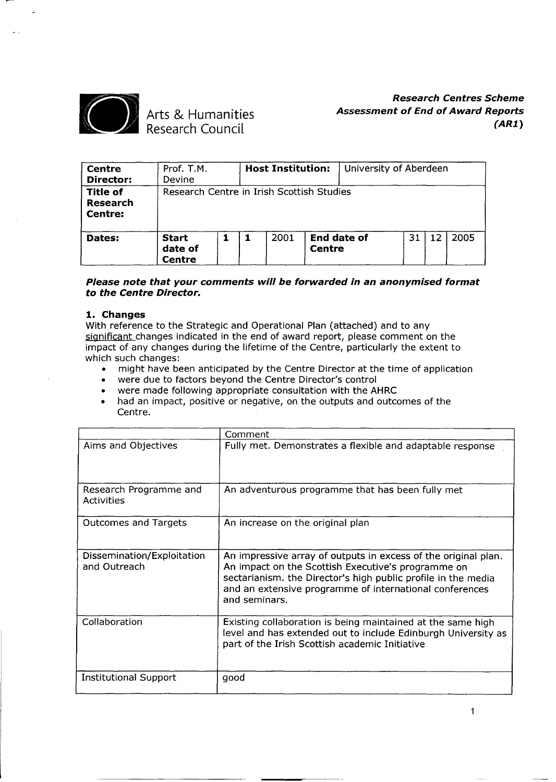

# Arts & Humanities Research Council

# *Research Centres Scheme Assessment* **of** *End* **of** *Award Reports (AR1)*

| Centre<br>Director:                           | Prof. T.M.<br>Devine                      |  | <b>Host Institution:</b> |               | University of Aberdeen |    |    |      |
|-----------------------------------------------|-------------------------------------------|--|--------------------------|---------------|------------------------|----|----|------|
| <b>Title of</b><br><b>Research</b><br>Centre: | Research Centre in Irish Scottish Studies |  |                          |               |                        |    |    |      |
| Dates:                                        | <b>Start</b><br>date of<br>Centre         |  | 2001                     | <b>Centre</b> | <b>End date of</b>     | 31 | 12 | 2005 |

### *Please note that your comments will be forwarded in an anonymised format to the Centre Director.*

### **1. Changes**

With reference to the Strategic and Operational Plan (attached) and to any significant changes indicated in the end of award report, please comment on the impact of any changes during the lifetime of the Centre, particularly the extent to which such changes: of the changes darmy the meaning of the Centre, particularly the extent to<br>h such changes:<br>might have been anticipated by the Centre Director at the time of application

- might have been anticipated by the Centre Director at t<br>• were due to factors beyond the Centre Director's control
- 
- were due to factors beyond the Centre Director's control<br>• were made following appropriate consultation with the AHRC<br>• had an impact, positive or pegative, on the outputs and outcome
- . had an impact, positive or negative, on the outputs and outcomes of the Centre.

|                                             | Comment                                                                                                                                                                                                                                                           |
|---------------------------------------------|-------------------------------------------------------------------------------------------------------------------------------------------------------------------------------------------------------------------------------------------------------------------|
| Aims and Objectives                         | Fully met. Demonstrates a flexible and adaptable response                                                                                                                                                                                                         |
| Research Programme and<br><b>Activities</b> | An adventurous programme that has been fully met                                                                                                                                                                                                                  |
| <b>Outcomes and Targets</b>                 | An increase on the original plan                                                                                                                                                                                                                                  |
| Dissemination/Exploitation<br>and Outreach  | An impressive array of outputs in excess of the original plan.<br>An impact on the Scottish Executive's programme on<br>sectarianism. the Director's high public profile in the media<br>and an extensive programme of international conferences<br>and seminars. |
| Collaboration                               | Existing collaboration is being maintained at the same high<br>level and has extended out to include Edinburgh University as<br>part of the Irish Scottish academic Initiative                                                                                    |
| <b>Institutional Support</b>                | good                                                                                                                                                                                                                                                              |

1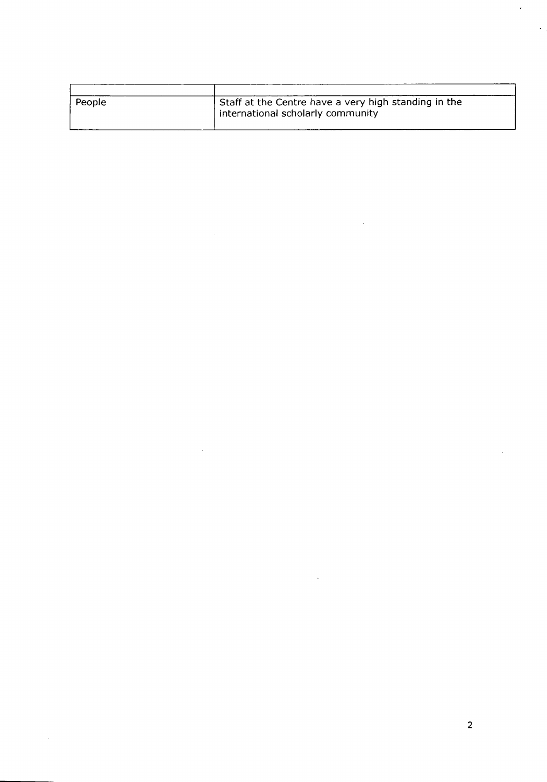| People | Staff at the Centre have a very high standing in the<br>international scholarly community |
|--------|-------------------------------------------------------------------------------------------|

 $\bar{z}$ 

 $\mathcal{A}$ 

 $\ddot{\phantom{a}}$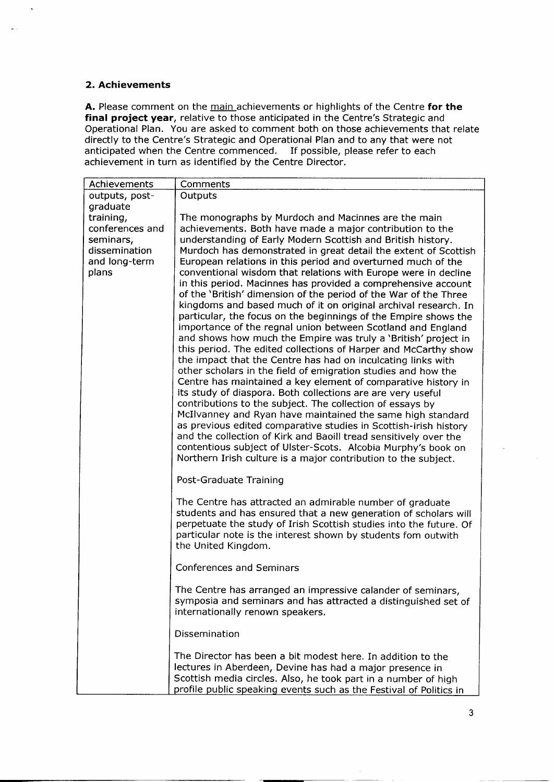### **2. Achievements**

**A.** Please comment on the main achievements or highlights of the Centre **for the final project year,** relative to those anticipated in the Centre's Strategic and Operational Plan. You are asked to comment both on those achievements that relate directly to the Centre's Strategic and Operational Plan and to any that were not anticipated when the Centre commenced. If possible, please refer to each achievement in turn as identified by the Centre Director.

| Achievements    | Comments                                                                                                                            |
|-----------------|-------------------------------------------------------------------------------------------------------------------------------------|
| outputs, post-  | Outputs                                                                                                                             |
| graduate        |                                                                                                                                     |
| training,       | The monographs by Murdoch and Macinnes are the main                                                                                 |
| conferences and | achievements. Both have made a major contribution to the                                                                            |
| seminars,       | understanding of Early Modern Scottish and British history.                                                                         |
| dissemination   | Murdoch has demonstrated in great detail the extent of Scottish                                                                     |
| and long-term   | European relations in this period and overturned much of the                                                                        |
| plans           | conventional wisdom that relations with Europe were in decline<br>in this period. Macinnes has provided a comprehensive account     |
|                 | of the 'British' dimension of the period of the War of the Three                                                                    |
|                 | kingdoms and based much of it on original archival research. In                                                                     |
|                 | particular, the focus on the beginnings of the Empire shows the                                                                     |
|                 | importance of the regnal union between Scotland and England                                                                         |
|                 | and shows how much the Empire was truly a 'British' project in                                                                      |
|                 | this period. The edited collections of Harper and McCarthy show                                                                     |
|                 | the impact that the Centre has had on inculcating links with                                                                        |
|                 | other scholars in the field of emigration studies and how the                                                                       |
|                 | Centre has maintained a key element of comparative history in                                                                       |
|                 | its study of diaspora. Both collections are are very useful                                                                         |
|                 | contributions to the subject. The collection of essays by                                                                           |
|                 | McIlvanney and Ryan have maintained the same high standard<br>as previous edited comparative studies in Scottish-irish history      |
|                 | and the collection of Kirk and Baoill tread sensitively over the                                                                    |
|                 | contentious subject of Ulster-Scots. Alcobia Murphy's book on                                                                       |
|                 | Northern Irish culture is a major contribution to the subject.                                                                      |
|                 |                                                                                                                                     |
|                 | Post-Graduate Training                                                                                                              |
|                 | The Centre has attracted an admirable number of graduate                                                                            |
|                 | students and has ensured that a new generation of scholars will                                                                     |
|                 | perpetuate the study of Irish Scottish studies into the future. Of<br>particular note is the interest shown by students fom outwith |
|                 | the United Kingdom.                                                                                                                 |
|                 |                                                                                                                                     |
|                 | <b>Conferences and Seminars</b>                                                                                                     |
|                 |                                                                                                                                     |
|                 | The Centre has arranged an impressive calander of seminars.                                                                         |
|                 | symposia and seminars and has attracted a distinguished set of                                                                      |
|                 | internationally renown speakers.                                                                                                    |
|                 | Dissemination                                                                                                                       |
|                 | The Director has been a bit modest here. In addition to the                                                                         |
|                 | lectures in Aberdeen, Devine has had a major presence in                                                                            |
|                 | Scottish media circles. Also, he took part in a number of high                                                                      |
|                 | profile public speaking events such as the Festival of Politics in                                                                  |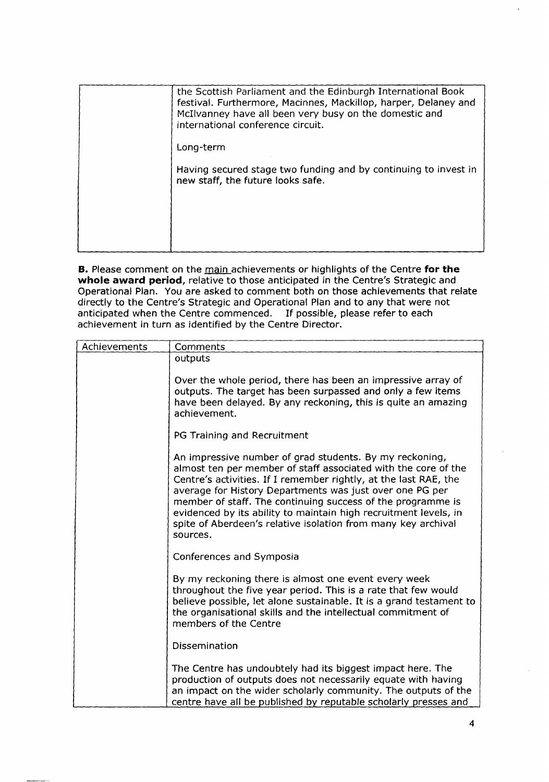| the Scottish Parliament and the Edinburgh International Book<br>festival. Furthermore, Macinnes, Mackillop, harper, Delaney and<br>McIlvanney have all been very busy on the domestic and<br>international conference circuit. |
|--------------------------------------------------------------------------------------------------------------------------------------------------------------------------------------------------------------------------------|
| Long-term                                                                                                                                                                                                                      |
| Having secured stage two funding and by continuing to invest in<br>new staff, the future looks safe.                                                                                                                           |
|                                                                                                                                                                                                                                |
|                                                                                                                                                                                                                                |

**B.** Please comment on the main achievements or highlights of the Centre **for the whole award period,** relative to those anticipated in the Centre's Strategic and Operational Plan. You are asked to comment both on those achievements that relate directly to the Centre's Strategic and Operational Plan and to any that were not anticipated when the Centre commenced. If possible, please refer to each achievement in turn as identified by the Centre Director.

| Achievements | Comments                                                                                                                                                                                                                                                                                                                                                                                                                                                                  |  |
|--------------|---------------------------------------------------------------------------------------------------------------------------------------------------------------------------------------------------------------------------------------------------------------------------------------------------------------------------------------------------------------------------------------------------------------------------------------------------------------------------|--|
|              | outputs                                                                                                                                                                                                                                                                                                                                                                                                                                                                   |  |
|              | Over the whole period, there has been an impressive array of<br>outputs. The target has been surpassed and only a few items<br>have been delayed. By any reckoning, this is quite an amazing<br>achievement.                                                                                                                                                                                                                                                              |  |
|              | PG Training and Recruitment                                                                                                                                                                                                                                                                                                                                                                                                                                               |  |
|              | An impressive number of grad students. By my reckoning,<br>almost ten per member of staff associated with the core of the<br>Centre's activities. If I remember rightly, at the last RAE, the<br>average for History Departments was just over one PG per<br>member of staff. The continuing success of the programme is<br>evidenced by its ability to maintain high recruitment levels, in<br>spite of Aberdeen's relative isolation from many key archival<br>sources. |  |
|              | Conferences and Symposia                                                                                                                                                                                                                                                                                                                                                                                                                                                  |  |
|              | By my reckoning there is almost one event every week<br>throughout the five year period. This is a rate that few would<br>believe possible, let alone sustainable. It is a grand testament to<br>the organisational skills and the intellectual commitment of<br>members of the Centre                                                                                                                                                                                    |  |
|              | Dissemination                                                                                                                                                                                                                                                                                                                                                                                                                                                             |  |
|              | The Centre has undoubtely had its biggest impact here. The<br>production of outputs does not necessarily equate with having<br>an impact on the wider scholarly community. The outputs of the<br>centre have all be published by reputable scholarly presses and                                                                                                                                                                                                          |  |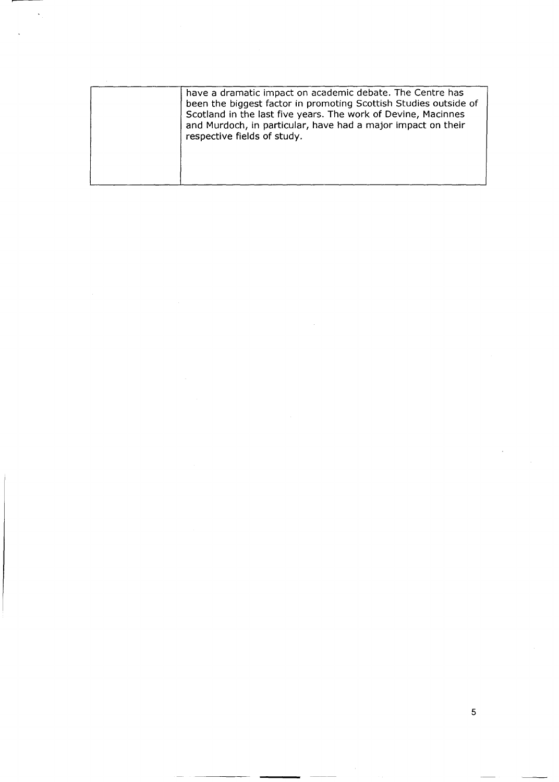5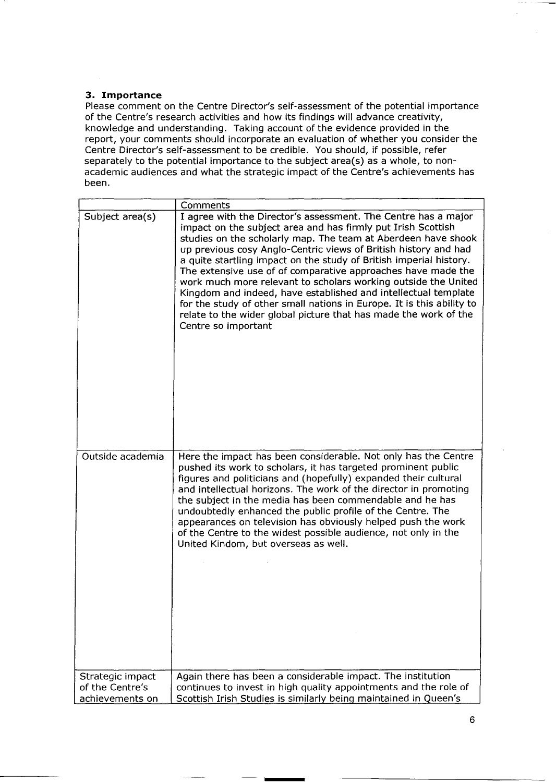# **3. Importance**

Please comment on the Centre Director's self-assessment of the potential importance of the Centre's research activities and how its findings will advance creativity, knowledge and understanding. Taking account of the evidence provided in the report, your comments should incorporate an evaluation of whether you consider the Centre Director's self-assessment to be credible. You should, if possible, refer separately to the potential importance to the subject area(s) as a whole, to nonacademic audiences and what the strategic impact of the Centre's achievements has been.

|                                    | Comments                                                                                                                                                                                                                                                                                                                                                                                                                                                                                                                                                                                                                                                                                                         |
|------------------------------------|------------------------------------------------------------------------------------------------------------------------------------------------------------------------------------------------------------------------------------------------------------------------------------------------------------------------------------------------------------------------------------------------------------------------------------------------------------------------------------------------------------------------------------------------------------------------------------------------------------------------------------------------------------------------------------------------------------------|
| Subject area(s)                    | I agree with the Director's assessment. The Centre has a major<br>impact on the subject area and has firmly put Irish Scottish<br>studies on the scholarly map. The team at Aberdeen have shook<br>up previous cosy Anglo-Centric views of British history and had<br>a quite startling impact on the study of British imperial history.<br>The extensive use of of comparative approaches have made the<br>work much more relevant to scholars working outside the United<br>Kingdom and indeed, have established and intellectual template<br>for the study of other small nations in Europe. It is this ability to<br>relate to the wider global picture that has made the work of the<br>Centre so important |
| Outside academia                   | Here the impact has been considerable. Not only has the Centre<br>pushed its work to scholars, it has targeted prominent public<br>figures and politicians and (hopefully) expanded their cultural<br>and intellectual horizons. The work of the director in promoting<br>the subject in the media has been commendable and he has<br>undoubtedly enhanced the public profile of the Centre. The<br>appearances on television has obviously helped push the work<br>of the Centre to the widest possible audience, not only in the<br>United Kindom, but overseas as well.                                                                                                                                       |
| Strategic impact                   | Again there has been a considerable impact. The institution                                                                                                                                                                                                                                                                                                                                                                                                                                                                                                                                                                                                                                                      |
| of the Centre's<br>achievements on | continues to invest in high quality appointments and the role of<br>Scottish Irish Studies is similarly being maintained in Queen's                                                                                                                                                                                                                                                                                                                                                                                                                                                                                                                                                                              |
|                                    |                                                                                                                                                                                                                                                                                                                                                                                                                                                                                                                                                                                                                                                                                                                  |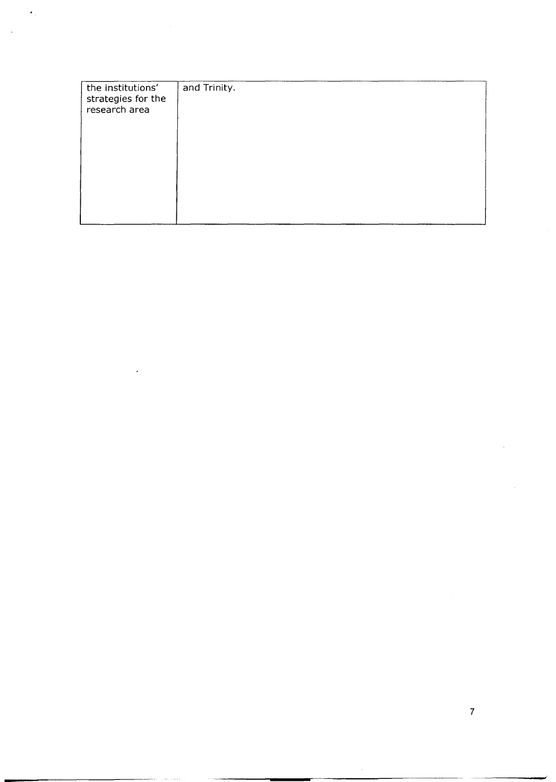| the institutions'<br>strategies for the<br>research area | and Trinity. |
|----------------------------------------------------------|--------------|
|                                                          |              |
|                                                          |              |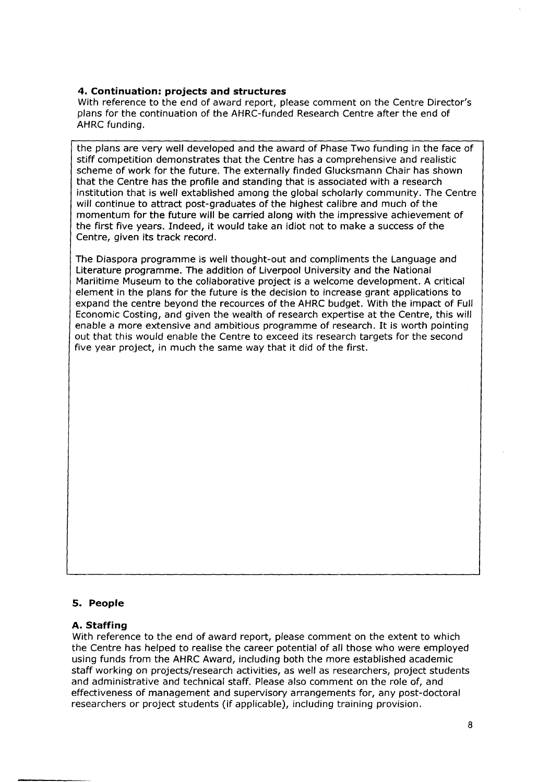# **4. Continuation: projects and structures**

With reference to the end of award report, please comment on the Centre Director's plans for the continuation of the AHRC-funded Research Centre after the end of AHRC funding.

the plans are very well developed and the award of Phase Two funding in the face of stiff competition demonstrates that the Centre has a comprehensive and realistic scheme of work for the future. The externally finded Glucksmann Chair has shown that the Centre has the profile and standing that is associated with a research institution that is well extablished among the global scholarly community. The Centre will continue to attract post-graduates of the highest calibre and much of the momentum for the future will be carried along with the impressive achievement of the first five years. Indeed, it would take an idiot not to make a success of the Centre, given its track record.

The Diaspora programme is well thought-out and compliments the Language and Literature programme. The addition of Liverpool University and the National Mariitime Museum to the collaborative project is a welcome development. A critical element in the plans for the future is the decision to increase grant applications to expand the centre beyond the recources of the AHRC budget. With the impact of Full Economic Costing, and given the wealth of research expertise at the Centre, this will enable a more extensive and ambitious programme of research. It is worth pointing out that this would enable the Centre to exceed its research targets for the second five year project, in much the same way that it did of the first.

#### **5. People**

#### **A. Staffing**

With reference to the end of award report, please comment on the extent to which the Centre has helped to realise the career potential of all those who were employed using funds from the AHRC Award, including both the more established academic staff working on projects/research activities, as well as researchers, project students and administrative and technical staff. Please also comment on the role of, and effectiveness of management and supervisory arrangements for, any post-doctoral researchers or project students (if applicable), including training provision.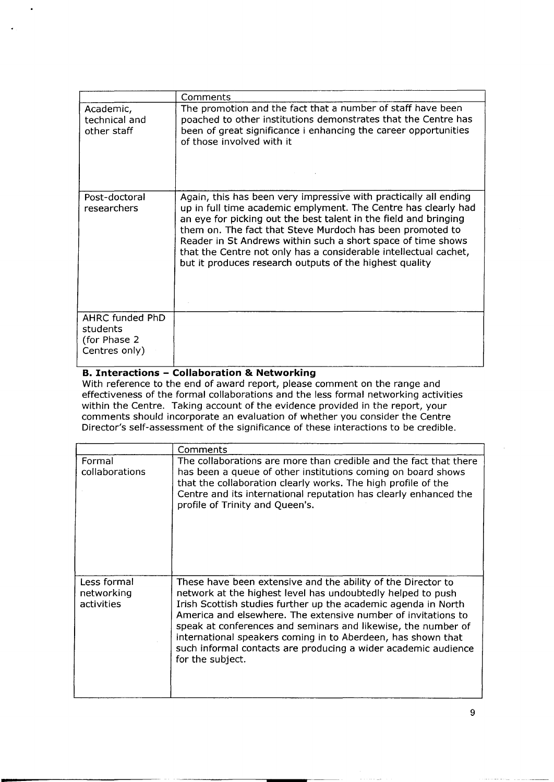|                                                              | Comments                                                                                                                                                                                                                                                                                                                                                                                                                                                           |
|--------------------------------------------------------------|--------------------------------------------------------------------------------------------------------------------------------------------------------------------------------------------------------------------------------------------------------------------------------------------------------------------------------------------------------------------------------------------------------------------------------------------------------------------|
| Academic,<br>technical and<br>other staff                    | The promotion and the fact that a number of staff have been<br>poached to other institutions demonstrates that the Centre has<br>been of great significance i enhancing the career opportunities<br>of those involved with it                                                                                                                                                                                                                                      |
| Post-doctoral<br>researchers                                 | Again, this has been very impressive with practically all ending<br>up in full time academic emplyment. The Centre has clearly had<br>an eye for picking out the best talent in the field and bringing<br>them on. The fact that Steve Murdoch has been promoted to<br>Reader in St Andrews within such a short space of time shows<br>that the Centre not only has a considerable intellectual cachet,<br>but it produces research outputs of the highest quality |
| AHRC funded PhD<br>students<br>(for Phase 2<br>Centres only) |                                                                                                                                                                                                                                                                                                                                                                                                                                                                    |

# **B. Interactions - Collaboration & Networking**

-

With reference to the end of award report, please comment on the range and effectiveness of the formal collaborations and the less formal networking activities within the Centre. Taking account of the evidence provided in the report, your comments should incorporate an evaluation of whether you consider the Centre Director's self-assessment of the significance of these interactions to be credible.

|                                         | Comments                                                                                                                                                                                                                                                                                                                                                                                                                                                                              |
|-----------------------------------------|---------------------------------------------------------------------------------------------------------------------------------------------------------------------------------------------------------------------------------------------------------------------------------------------------------------------------------------------------------------------------------------------------------------------------------------------------------------------------------------|
| Formal<br>collaborations                | The collaborations are more than credible and the fact that there<br>has been a queue of other institutions coming on board shows<br>that the collaboration clearly works. The high profile of the<br>Centre and its international reputation has clearly enhanced the<br>profile of Trinity and Queen's.                                                                                                                                                                             |
| Less formal<br>networking<br>activities | These have been extensive and the ability of the Director to<br>network at the highest level has undoubtedly helped to push<br>Irish Scottish studies further up the academic agenda in North<br>America and elsewhere. The extensive number of invitations to<br>speak at conferences and seminars and likewise, the number of<br>international speakers coming in to Aberdeen, has shown that<br>such informal contacts are producing a wider academic audience<br>for the subject. |

9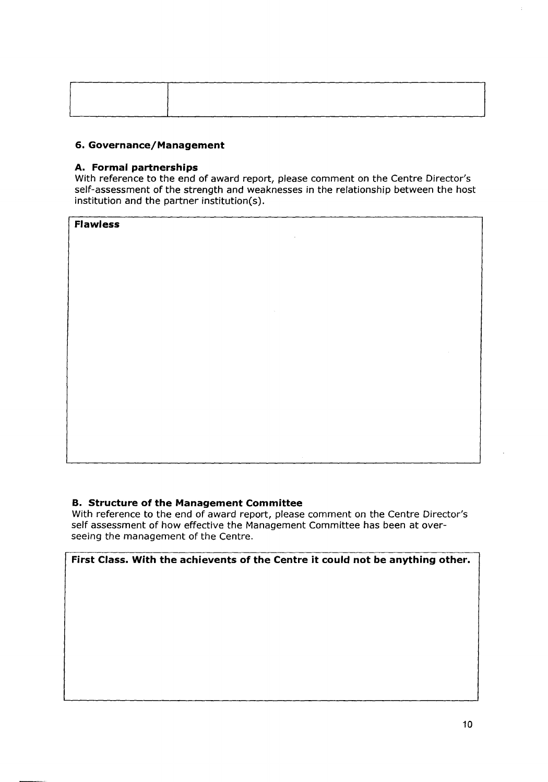# **6. Governance/Management**

# **A. Formal partnerships**

With reference to the end of award report, please comment on the Centre Director's self-assessment of the strength and weaknesses in the relationship between the host institution and the partner institution(s).

**Flawless**

# **B. Structure of the Management Committee**

With reference to the end of award report, please comment on the Centre Director's self assessment of how effective the Management Committee has been at overseeing the management of the Centre.

**First Class. With the achievents of the Centre it could not be anything other.**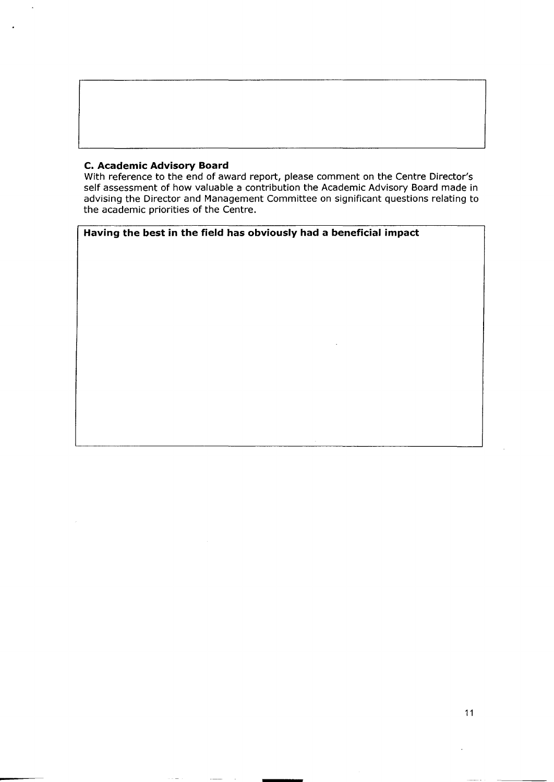## **C. Academic Advisory Board**

With reference to the end of award report, please comment on the Centre Director' self assessment of how valuable a contribution the Academic Advisory Board made in advising the Director and Management Committee on significant questions relating to the academic priorities of the Centre.

# **Having the best in the field has obviously had a beneficial impact**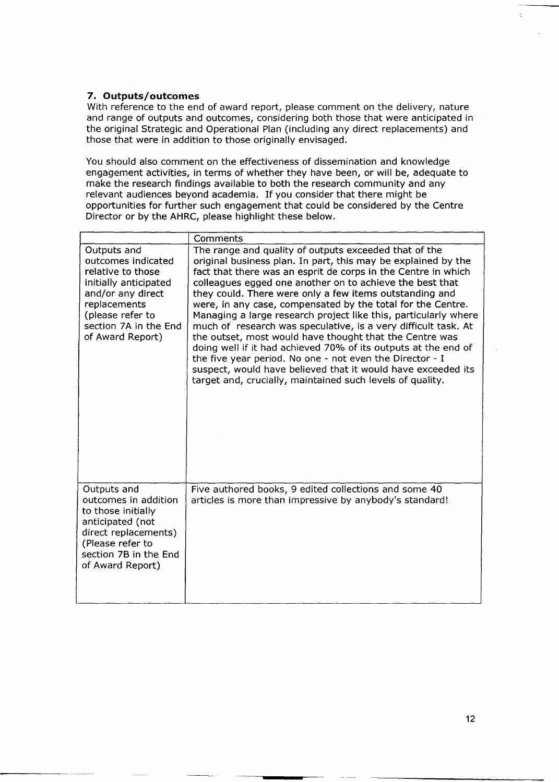# **7. Outputs/outcomes**

With reference to the end of award report, please comment on the delivery, nature and range of outputs and outcomes, considering both those that were anticipated in the original Strategic and Operational Plan (including any direct replacements) and those that were in addition to those originally envisaged.

You should also comment on the effectiveness of dissemination and knowledge engagement activities, in terms of whether they have been, or will be, adequate to make the research findings available to both the research community and any relevant audiences beyond academia. If you consider that there might be opportunities for further such engagement that could be considered by the Centre Director or by the AHRC, please highlight these below.

|                                                                                                                                                                                       | Comments                                                                                                                                                                                                                                                                                                                                                                                                                                                                                                                                                                                                                                                                                                                                                                                                                                 |
|---------------------------------------------------------------------------------------------------------------------------------------------------------------------------------------|------------------------------------------------------------------------------------------------------------------------------------------------------------------------------------------------------------------------------------------------------------------------------------------------------------------------------------------------------------------------------------------------------------------------------------------------------------------------------------------------------------------------------------------------------------------------------------------------------------------------------------------------------------------------------------------------------------------------------------------------------------------------------------------------------------------------------------------|
| Outputs and<br>outcomes indicated<br>relative to those<br>initially anticipated<br>and/or any direct<br>replacements<br>(please refer to<br>section 7A in the End<br>of Award Report) | The range and quality of outputs exceeded that of the<br>original business plan. In part, this may be explained by the<br>fact that there was an esprit de corps in the Centre in which<br>colleagues egged one another on to achieve the best that<br>they could. There were only a few items outstanding and<br>were, in any case, compensated by the total for the Centre.<br>Managing a large research project like this, particularly where<br>much of research was speculative, is a very difficult task. At<br>the outset, most would have thought that the Centre was<br>doing well if it had achieved 70% of its outputs at the end of<br>the five year period. No one - not even the Director - I<br>suspect, would have believed that it would have exceeded its<br>target and, crucially, maintained such levels of quality. |
| Outputs and<br>outcomes in addition<br>to those initially<br>anticipated (not<br>direct replacements)<br>(Please refer to<br>section 7B in the End<br>of Award Report)                | Five authored books, 9 edited collections and some 40<br>articles is more than impressive by anybody's standard!                                                                                                                                                                                                                                                                                                                                                                                                                                                                                                                                                                                                                                                                                                                         |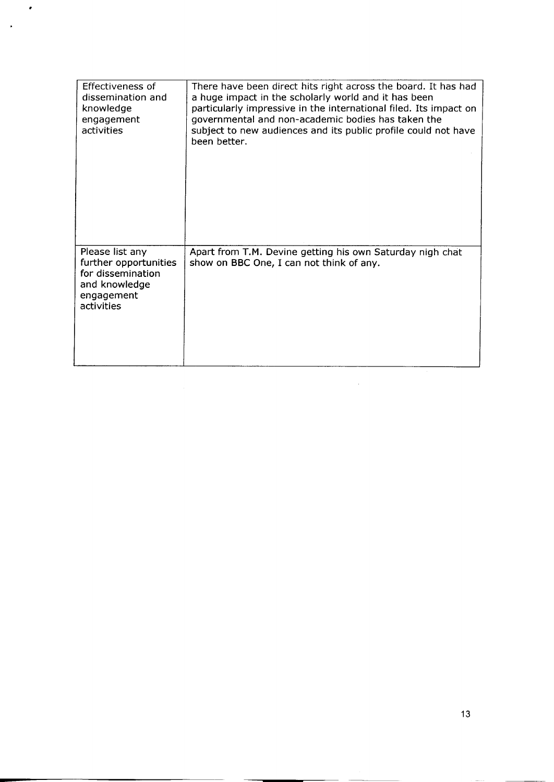| Effectiveness of<br>dissemination and<br>knowledge<br>engagement<br>activities                             | There have been direct hits right across the board. It has had<br>a huge impact in the scholarly world and it has been<br>particularly impressive in the international filed. Its impact on<br>governmental and non-academic bodies has taken the<br>subject to new audiences and its public profile could not have<br>been better. |
|------------------------------------------------------------------------------------------------------------|-------------------------------------------------------------------------------------------------------------------------------------------------------------------------------------------------------------------------------------------------------------------------------------------------------------------------------------|
| Please list any<br>further opportunities<br>for dissemination<br>and knowledge<br>engagement<br>activities | Apart from T.M. Devine getting his own Saturday nigh chat<br>show on BBC One, I can not think of any.                                                                                                                                                                                                                               |

 $\hat{\mathcal{A}}$ 

#

J,

-